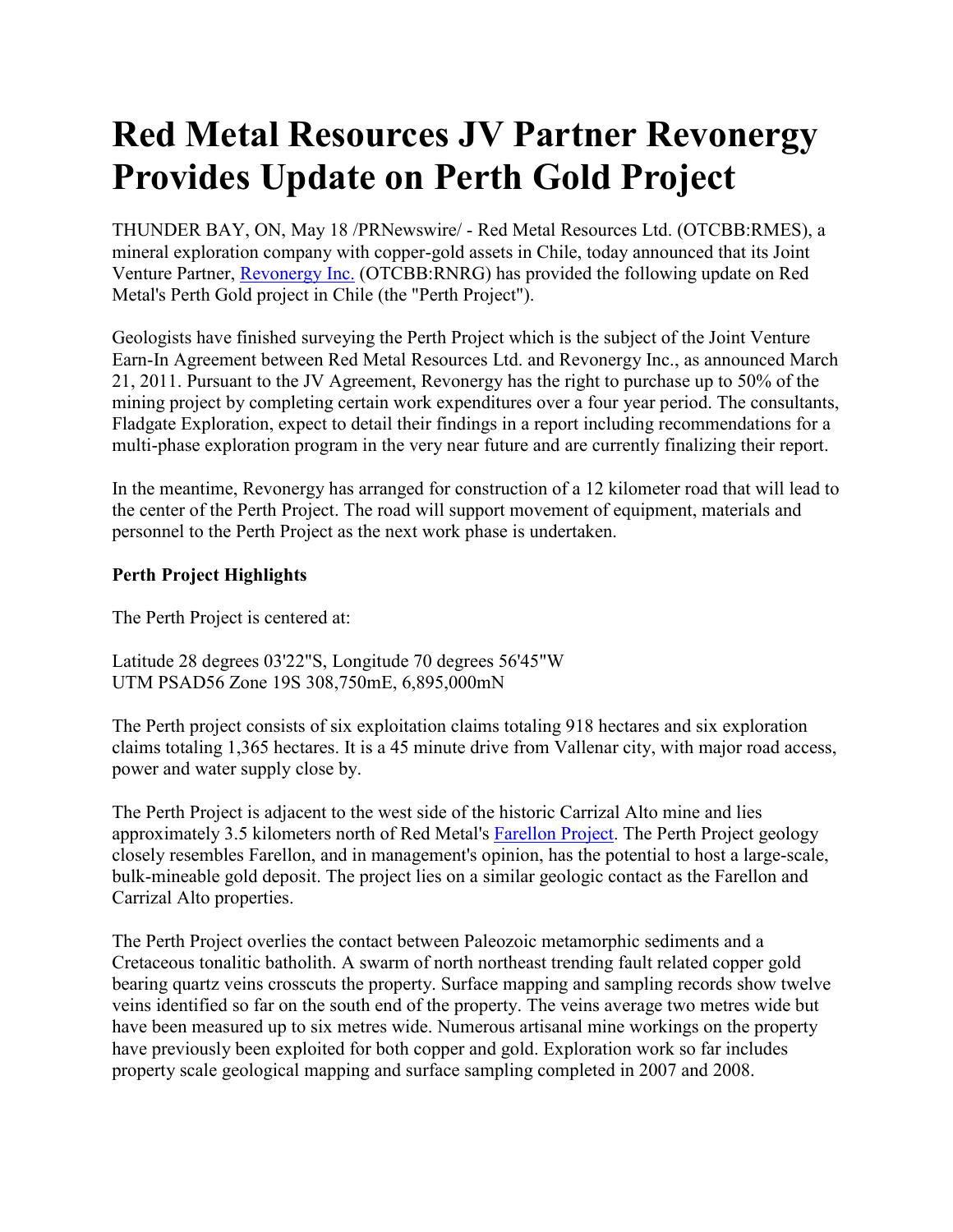## **Red Metal Resources JV Partner Revonergy Provides Update on Perth Gold Project**

THUNDER BAY, ON, May 18 /PRNewswire/ - Red Metal Resources Ltd. (OTCBB:RMES), a mineral exploration company with copper-gold assets in Chile, today announced that its Joint Venture Partner, Revonergy Inc. (OTCBB:RNRG) has provided the following update on Red Metal's Perth Gold project in Chile (the "Perth Project").

Geologists have finished surveying the Perth Project which is the subject of the Joint Venture Earn-In Agreement between Red Metal Resources Ltd. and Revonergy Inc., as announced March 21, 2011. Pursuant to the JV Agreement, Revonergy has the right to purchase up to 50% of the mining project by completing certain work expenditures over a four year period. The consultants, Fladgate Exploration, expect to detail their findings in a report including recommendations for a multi-phase exploration program in the very near future and are currently finalizing their report.

In the meantime, Revonergy has arranged for construction of a 12 kilometer road that will lead to the center of the Perth Project. The road will support movement of equipment, materials and personnel to the Perth Project as the next work phase is undertaken.

## **Perth Project Highlights**

The Perth Project is centered at:

Latitude 28 degrees 03'22"S, Longitude 70 degrees 56'45"W UTM PSAD56 Zone 19S 308,750mE, 6,895,000mN

The Perth project consists of six exploitation claims totaling 918 hectares and six exploration claims totaling 1,365 hectares. It is a 45 minute drive from Vallenar city, with major road access, power and water supply close by.

The Perth Project is adjacent to the west side of the historic Carrizal Alto mine and lies approximately 3.5 kilometers north of Red Metal's Farellon Project. The Perth Project geology closely resembles Farellon, and in management's opinion, has the potential to host a large-scale, bulk-mineable gold deposit. The project lies on a similar geologic contact as the Farellon and Carrizal Alto properties.

The Perth Project overlies the contact between Paleozoic metamorphic sediments and a Cretaceous tonalitic batholith. A swarm of north northeast trending fault related copper gold bearing quartz veins crosscuts the property. Surface mapping and sampling records show twelve veins identified so far on the south end of the property. The veins average two metres wide but have been measured up to six metres wide. Numerous artisanal mine workings on the property have previously been exploited for both copper and gold. Exploration work so far includes property scale geological mapping and surface sampling completed in 2007 and 2008.